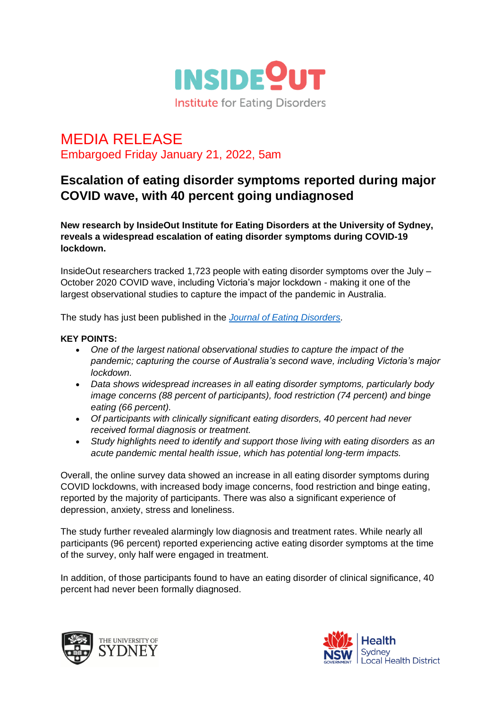

## MEDIA RELEASE Embargoed Friday January 21, 2022, 5am

## **Escalation of eating disorder symptoms reported during major COVID wave, with 40 percent going undiagnosed**

**New research by InsideOut Institute for Eating Disorders at the University of Sydney, reveals a widespread escalation of eating disorder symptoms during COVID-19 lockdown.**

InsideOut researchers tracked 1,723 people with eating disorder symptoms over the July – October 2020 COVID wave, including Victoria's major lockdown - making it one of the largest observational studies to capture the impact of the pandemic in Australia.

The study has just been published in the *[Journal of Eating Disorders.](https://jeatdisord.biomedcentral.com/articles/10.1186/s40337-021-00527-0)*

## **KEY POINTS:**

- *One of the largest national observational studies to capture the impact of the pandemic; capturing the course of Australia's second wave, including Victoria's major lockdown.*
- *Data shows widespread increases in all eating disorder symptoms, particularly body image concerns (88 percent of participants), food restriction (74 percent) and binge eating (66 percent).*
- *Of participants with clinically significant eating disorders, 40 percent had never received formal diagnosis or treatment.*
- Study highlights need to identify and support those living with eating disorders as an *acute pandemic mental health issue, which has potential long-term impacts.*

Overall, the online survey data showed an increase in all eating disorder symptoms during COVID lockdowns, with increased body image concerns, food restriction and binge eating, reported by the majority of participants. There was also a significant experience of depression, anxiety, stress and loneliness.

The study further revealed alarmingly low diagnosis and treatment rates. While nearly all participants (96 percent) reported experiencing active eating disorder symptoms at the time of the survey, only half were engaged in treatment.

In addition, of those participants found to have an eating disorder of clinical significance, 40 percent had never been formally diagnosed.



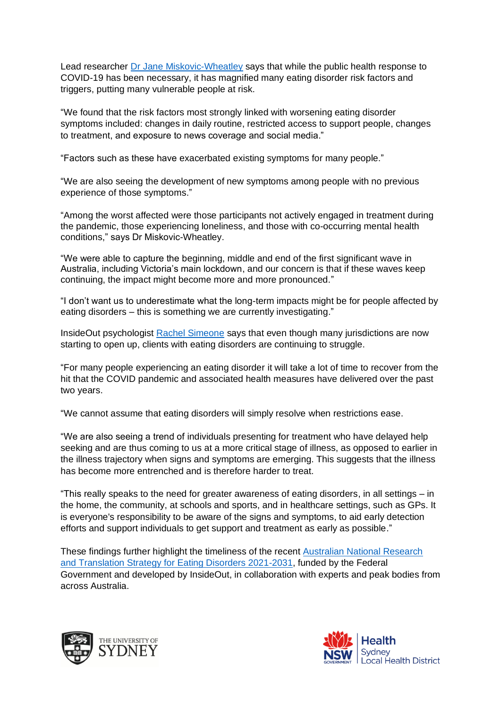Lead researcher [Dr Jane Miskovic-Wheatley](https://insideoutinstitute.org.au/team/jane-miskovic-wheatley) says that while the public health response to COVID-19 has been necessary, it has magnified many eating disorder risk factors and triggers, putting many vulnerable people at risk.

"We found that the risk factors most strongly linked with worsening eating disorder symptoms included: changes in daily routine, restricted access to support people, changes to treatment, and exposure to news coverage and social media."

"Factors such as these have exacerbated existing symptoms for many people."

"We are also seeing the development of new symptoms among people with no previous experience of those symptoms."

"Among the worst affected were those participants not actively engaged in treatment during the pandemic, those experiencing loneliness, and those with co-occurring mental health conditions," says Dr Miskovic-Wheatley.

"We were able to capture the beginning, middle and end of the first significant wave in Australia, including Victoria's main lockdown, and our concern is that if these waves keep continuing, the impact might become more and more pronounced."

"I don't want us to underestimate what the long-term impacts might be for people affected by eating disorders – this is something we are currently investigating."

InsideOut psychologist [Rachel Simeone](https://insideoutinstitute.org.au/treatment-services/rachel-simeone) says that even though many jurisdictions are now starting to open up, clients with eating disorders are continuing to struggle.

"For many people experiencing an eating disorder it will take a lot of time to recover from the hit that the COVID pandemic and associated health measures have delivered over the past two years.

"We cannot assume that eating disorders will simply resolve when restrictions ease.

"We are also seeing a trend of individuals presenting for treatment who have delayed help seeking and are thus coming to us at a more critical stage of illness, as opposed to earlier in the illness trajectory when signs and symptoms are emerging. This suggests that the illness has become more entrenched and is therefore harder to treat.

"This really speaks to the need for greater awareness of eating disorders, in all settings – in the home, the community, at schools and sports, and in healthcare settings, such as GPs. It is everyone's responsibility to be aware of the signs and symptoms, to aid early detection efforts and support individuals to get support and treatment as early as possible."

These findings further highlight the timeliness of the recent [Australian National Research](https://bit.ly/3r6G7vv)  [and Translation Strategy for Eating Disorders 2021-2031,](https://bit.ly/3r6G7vv) funded by the Federal Government and developed by InsideOut, in collaboration with experts and peak bodies from across Australia.